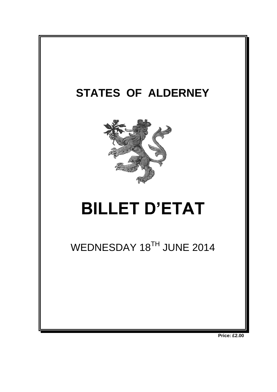

**Price: £2.00**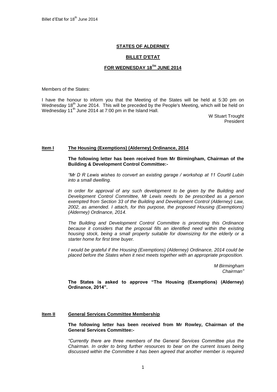## **STATES OF ALDERNEY**

#### **BILLET D'ETAT**

# **FOR WEDNESDAY 18TH JUNE 2014**

Members of the States:

I have the honour to inform you that the Meeting of the States will be held at 5:30 pm on Wednesday  $18<sup>th</sup>$  June 2014. This will be preceded by the People's Meeting, which will be held on Wednesday 11<sup>th</sup> June 2014 at 7:00 pm in the Island Hall.

> W Stuart Trought President

#### **Item I The Housing (Exemptions) (Alderney) Ordinance, 2014**

**The following letter has been received from Mr Birmingham, Chairman of the Building & Development Control Committee:-**

*"Mr D R Lewis wishes to convert an existing garage / workshop at 11 Courtil Lubin into a small dwelling.* 

In order for approval of any such development to be given by the Building and *Development Control Committee, Mr Lewis needs to be prescribed as a person exempted from Section 33 of the Building and Development Control (Alderney) Law, 2002, as amended. I attach, for this purpose, the proposed Housing (Exemptions) (Alderney) Ordinance, 2014.* 

*The Building and Development Control Committee is promoting this Ordinance*  because it considers that the proposal fills an identified need within the existing *housing stock, being a small property suitable for downsizing for the elderly or a starter home for first time buyer.* 

*I* would be grateful if the Housing (Exemptions) (Alderney) Ordinance, 2014 could be *placed before the States when it next meets together with an appropriate proposition.*

> *M Birmingham Chairman"*

**The States is asked to approve "The Housing (Exemptions) (Alderney) Ordinance, 2014".** 

#### **Item II General Services Committee Membership**

**The following letter has been received from Mr Rowley, Chairman of the General Services Committee:-**

*"Currently there are three members of the General Services Committee plus the Chairman. In order to bring further resources to bear on the current issues being discussed within the Committee it has been agreed that another member is required*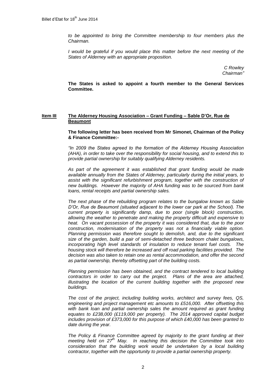*to be appointed to bring the Committee membership to four members plus the Chairman.*

*I* would be grateful if you would place this matter before the next meeting of the *States of Alderney with an appropriate proposition.*

> *C Rowley Chairman"*

**The States is asked to appoint a fourth member to the General Services Committee.**

## **Item III The Alderney Housing Association – Grant Funding – Sable D'Or, Rue de Beaumont**

**The following letter has been received from Mr Simonet, Chairman of the Policy & Finance Committee:-**

*"In 2009 the States agreed to the formation of the Alderney Housing Association (AHA), in order to take over the responsibility for social housing, and to extend this to provide partial ownership for suitably qualifying Alderney residents.* 

*As part of the agreement it was established that grant funding would be made available annually from the States of Alderney, particularly during the initial years, to*  assist with the significant refurbishment program, together with the construction of *new buildings. However the majority of AHA funding was to be sourced from bank loans, rental receipts and partial ownership sales.* 

*The next phase of the rebuilding program relates to the bungalow known as Sable D'Or, Rue de Beaumont (situated adjacent to the lower car park at the School). The current property is significantly damp, due to poor (single block) construction, allowing the weather to penetrate and making the property difficult and expensive to heat. On vacant possession of the property it was considered that, due to the poor construction, modernisation of the property was not a financially viable option. Planning permission was therefore sought to demolish, and, due to the significant size of the garden, build a pair of semi-detached three bedroom chalet bungalows, incorporating high level standards of insulation to reduce tenant fuel costs. The housing stock will therefore be increased and off road parking facilities provided. The decision was also taken to retain one as rental accommodation, and offer the second as partial ownership, thereby offsetting part of the building costs.*

*Planning permission has been obtained, and the contract tendered to local building contractors in order to carry out the project. Plans of the area are attached, illustrating the location of the current building together with the proposed new buildings.*

*The cost of the project, including building works, architect and survey fees, QS, engineering and project management etc amounts to £516,000. After offsetting this*  with bank loan and partial ownership sales the amount required as grant funding *equates to £238,000 (£119,000 per property). The 2014 approved capital budget includes provision of £373,000 for this purpose of which £40,000 has been granted to date during the year.* 

*The Policy & Finance Committee agreed by majority to the grant funding at their meeting held on 27th May. In reaching this decision the Committee took into consideration that the building work would be undertaken by a local building contractor, together with the opportunity to provide a partial ownership property.*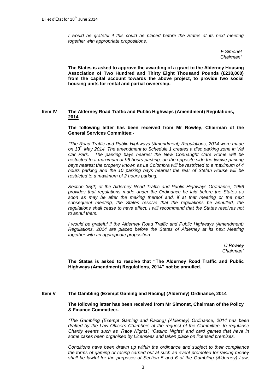*I* would be grateful if this could be placed before the States at its next meeting *together with appropriate propositions.*

> *F Simonet Chairman"*

**The States is asked to approve the awarding of a grant to the Alderney Housing Association of Two Hundred and Thirty Eight Thousand Pounds (£238,000) from the capital account towards the above project, to provide two social housing units for rental and partial ownership.**

## **Item IV The Alderney Road Traffic and Public Highways (Amendment) Regulations, 2014**

**The following letter has been received from Mr Rowley, Chairman of the General Services Committee:-**

*"The Road Traffic and Public Highways (Amendment) Regulations, 2014 were made on 13th May 2014. The amendment to Schedule 1 creates a disc parking zone in Val Car Park. The parking bays nearest the New Connaught Care Home will be restricted to a maximum of 96 hours parking, on the opposite side the twelve parking bays nearest the property known as La Colombra will be restricted to a maximum of 4 hours parking and the 10 parking bays nearest the rear of Stefan House will be restricted to a maximum of 2 hours parking.* 

*Section 35(2) of the Alderney Road Traffic and Public Highways Ordinance, 1966 provides that regulations made under the Ordinance be laid before the States as soon as may be after the making thereof and, if at that meeting or the next subsequent meeting, the States resolve that the regulations be annulled, the regulations shall cease to have effect. I will recommend that the States resolves not to annul them.*

*I* would be grateful if the Alderney Road Traffic and Public Highways (Amendment) *Regulations, 2014 are placed before the States of Alderney at its next Meeting together with an appropriate proposition.*

> *C Rowley Chairman"*

**The States is asked to resolve that "The Alderney Road Traffic and Public Highways (Amendment) Regulations, 2014" not be annulled.**

#### **Item V The Gambling (Exempt Gaming and Racing) (Alderney) Ordinance, 2014**

**The following letter has been received from Mr Simonet, Chairman of the Policy & Finance Committee:-**

*"The Gambling (Exempt Gaming and Racing) (Alderney) Ordinance, 2014 has been drafted by the Law Officers Chambers at the request of the Committee, to regularise Charity events such as 'Race Nights', 'Casino Nights' and card games that have in some cases been organised by Licensees and taken place on licensed premises.*

*Conditions have been drawn up within the ordinance and subject to their compliance the forms of gaming or racing carried out at such an event promoted for raising money shall be lawful for the purposes of Section 5 and 6 of the Gambling (Alderney) Law,*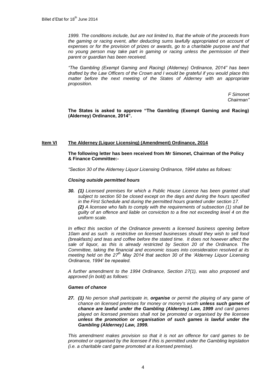*1999. The conditions include, but are not limited to, that the whole of the proceeds from*  the gaming or racing event, after deducting sums lawfully appropriated on account of *expenses or for the provision of prizes or awards, go to a charitable purpose and that no young person may take part in gaming or racing unless the permission of their parent or guardian has been received.*

*"The Gambling (Exempt Gaming and Racing) (Alderney) Ordinance, 2014" has been drafted by the Law Officers of the Crown and I would be grateful if you would place this*  matter before the next meeting of the States of Alderney with an appropriate *proposition.*

> *F Simonet Chairman"*

**The States is asked to approve "The Gambling (Exempt Gaming and Racing) (Alderney) Ordinance, 2014".**

## **Item VI The Alderney (Liquor Licensing) (Amendment) Ordinance, 2014**

**The following letter has been received from Mr Simonet, Chairman of the Policy & Finance Committee:-**

*"Section 30 of the Alderney Liquor Licensing Ordinance, 1994 states as follows:*

#### *Closing outside permitted hours*

*30. (1) Licensed premises for which a Public House Licence has been granted shall subject to section 50 be closed except on the days and during the hours specified in the First Schedule and during the permitted hours granted under section 17. (2) A licensee who fails to comply with the requirements of subsection (1) shall be guilty of an offence and liable on conviction to a fine not exceeding level 4 on the uniform scale.*

*In effect this section of the Ordinance prevents a licensed business opening before 10am and as such is restrictive on licensed businesses should they wish to sell food (breakfasts) and teas and coffee before the stated time. It does not however affect the*  sale of liquor, as this is already restricted by Section 20 of the Ordinance. The *Committee, taking the financial and economic issues into consideration resolved at its meeting held on the 27th May 2014 that section 30 of the 'Alderney Liquor Licensing Ordinance, 1994' be repealed.*

*A further amendment to the 1994 Ordinance, Section 27(1), was also proposed and approved (in bold) as follows:*

#### *Games of chance*

*27. (1) No person shall participate in, organise or permit the playing of any game of chance on licensed premises for money or money's worth unless such games of chance are lawful under the Gambling (Alderney) Law, 1999 and card games played on licensed premises shall not be promoted or organised by the licensee unless the promotion or organisation of such games is lawful under the Gambling (Alderney) Law, 1999.*

*This amendment makes provision so that it is not an offence for card games to be promoted or organised by the licensee if this is permitted under the Gambling legislation (i.e. a charitable card game promoted at a licensed premise).*